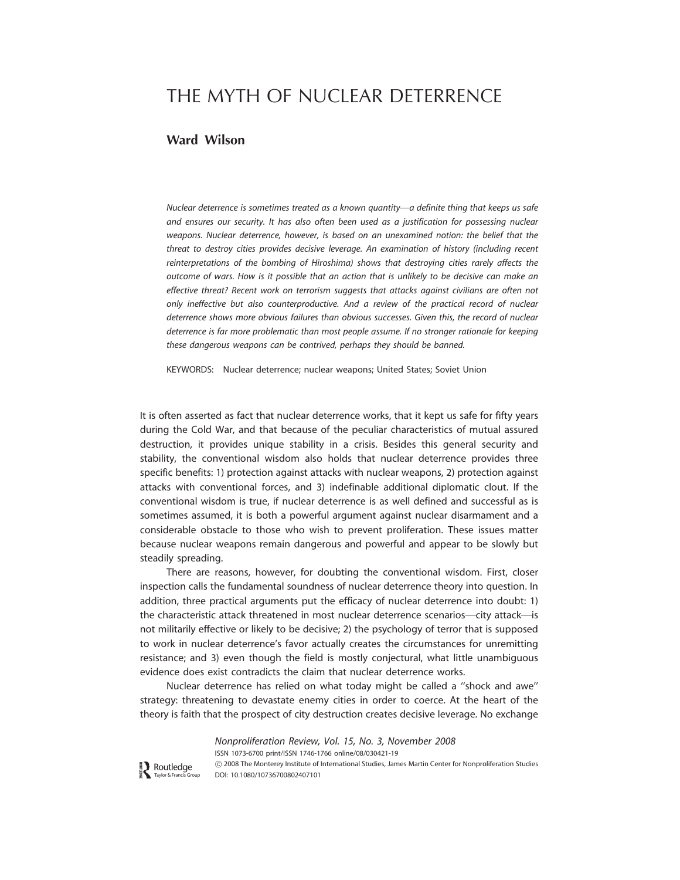# THE MYTH OF NUCLEAR DETERRENCE

## Ward Wilson

Nuclear deterrence is sometimes treated as a known quantity—a definite thing that keeps us safe and ensures our security. It has also often been used as a justification for possessing nuclear weapons. Nuclear deterrence, however, is based on an unexamined notion: the belief that the threat to destroy cities provides decisive leverage. An examination of history (including recent reinterpretations of the bombing of Hiroshima) shows that destroying cities rarely affects the outcome of wars. How is it possible that an action that is unlikely to be decisive can make an effective threat? Recent work on terrorism suggests that attacks against civilians are often not only ineffective but also counterproductive. And a review of the practical record of nuclear deterrence shows more obvious failures than obvious successes. Given this, the record of nuclear deterrence is far more problematic than most people assume. If no stronger rationale for keeping these dangerous weapons can be contrived, perhaps they should be banned.

KEYWORDS: Nuclear deterrence; nuclear weapons; United States; Soviet Union

It is often asserted as fact that nuclear deterrence works, that it kept us safe for fifty years during the Cold War, and that because of the peculiar characteristics of mutual assured destruction, it provides unique stability in a crisis. Besides this general security and stability, the conventional wisdom also holds that nuclear deterrence provides three specific benefits: 1) protection against attacks with nuclear weapons, 2) protection against attacks with conventional forces, and 3) indefinable additional diplomatic clout. If the conventional wisdom is true, if nuclear deterrence is as well defined and successful as is sometimes assumed, it is both a powerful argument against nuclear disarmament and a considerable obstacle to those who wish to prevent proliferation. These issues matter because nuclear weapons remain dangerous and powerful and appear to be slowly but steadily spreading.

There are reasons, however, for doubting the conventional wisdom. First, closer inspection calls the fundamental soundness of nuclear deterrence theory into question. In addition, three practical arguments put the efficacy of nuclear deterrence into doubt: 1) the characteristic attack threatened in most nuclear deterrence scenarios—city attack—is not militarily effective or likely to be decisive; 2) the psychology of terror that is supposed to work in nuclear deterrence's favor actually creates the circumstances for unremitting resistance; and 3) even though the field is mostly conjectural, what little unambiguous evidence does exist contradicts the claim that nuclear deterrence works.

Nuclear deterrence has relied on what today might be called a ''shock and awe'' strategy: threatening to devastate enemy cities in order to coerce. At the heart of the theory is faith that the prospect of city destruction creates decisive leverage. No exchange

> Nonproliferation Review, Vol. 15, No. 3, November 2008 ISSN 1073-6700 print/ISSN 1746-1766 online/08/030421-19 – 2008 The Monterey Institute of International Studies, James Martin Center for Nonproliferation Studies DOI: 10.1080/10736700802407101

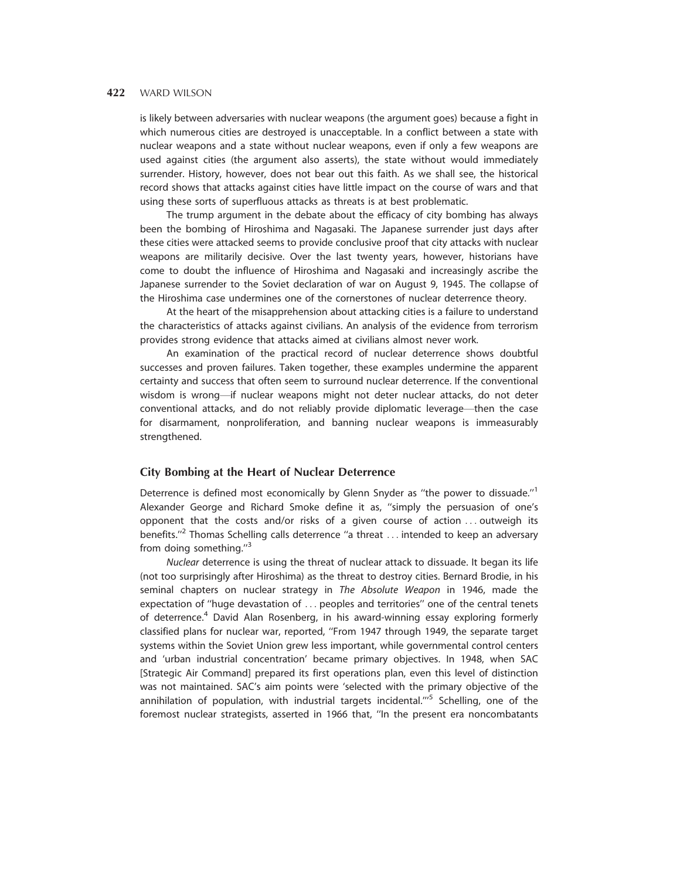is likely between adversaries with nuclear weapons (the argument goes) because a fight in which numerous cities are destroyed is unacceptable. In a conflict between a state with nuclear weapons and a state without nuclear weapons, even if only a few weapons are used against cities (the argument also asserts), the state without would immediately surrender. History, however, does not bear out this faith. As we shall see, the historical record shows that attacks against cities have little impact on the course of wars and that using these sorts of superfluous attacks as threats is at best problematic.

The trump argument in the debate about the efficacy of city bombing has always been the bombing of Hiroshima and Nagasaki. The Japanese surrender just days after these cities were attacked seems to provide conclusive proof that city attacks with nuclear weapons are militarily decisive. Over the last twenty years, however, historians have come to doubt the influence of Hiroshima and Nagasaki and increasingly ascribe the Japanese surrender to the Soviet declaration of war on August 9, 1945. The collapse of the Hiroshima case undermines one of the cornerstones of nuclear deterrence theory.

At the heart of the misapprehension about attacking cities is a failure to understand the characteristics of attacks against civilians. An analysis of the evidence from terrorism provides strong evidence that attacks aimed at civilians almost never work.

An examination of the practical record of nuclear deterrence shows doubtful successes and proven failures. Taken together, these examples undermine the apparent certainty and success that often seem to surround nuclear deterrence. If the conventional wisdom is wrong—if nuclear weapons might not deter nuclear attacks, do not deter conventional attacks, and do not reliably provide diplomatic leverage—then the case for disarmament, nonproliferation, and banning nuclear weapons is immeasurably strengthened.

#### City Bombing at the Heart of Nuclear Deterrence

Deterrence is defined most economically by Glenn Snyder as "the power to dissuade."<sup>1</sup> Alexander George and Richard Smoke define it as, ''simply the persuasion of one's opponent that the costs and/or risks of a given course of action  $\dots$  outweigh its benefits."<sup>2</sup> Thomas Schelling calls deterrence "a threat  $\dots$  intended to keep an adversary from doing something.''<sup>3</sup>

Nuclear deterrence is using the threat of nuclear attack to dissuade. It began its life (not too surprisingly after Hiroshima) as the threat to destroy cities. Bernard Brodie, in his seminal chapters on nuclear strategy in The Absolute Weapon in 1946, made the expectation of ''huge devastation of . . . peoples and territories'' one of the central tenets of deterrence.<sup>4</sup> David Alan Rosenberg, in his award-winning essay exploring formerly classified plans for nuclear war, reported, ''From 1947 through 1949, the separate target systems within the Soviet Union grew less important, while governmental control centers and 'urban industrial concentration' became primary objectives. In 1948, when SAC [Strategic Air Command] prepared its first operations plan, even this level of distinction was not maintained. SAC's aim points were 'selected with the primary objective of the annihilation of population, with industrial targets incidental."<sup>5</sup> Schelling, one of the foremost nuclear strategists, asserted in 1966 that, ''In the present era noncombatants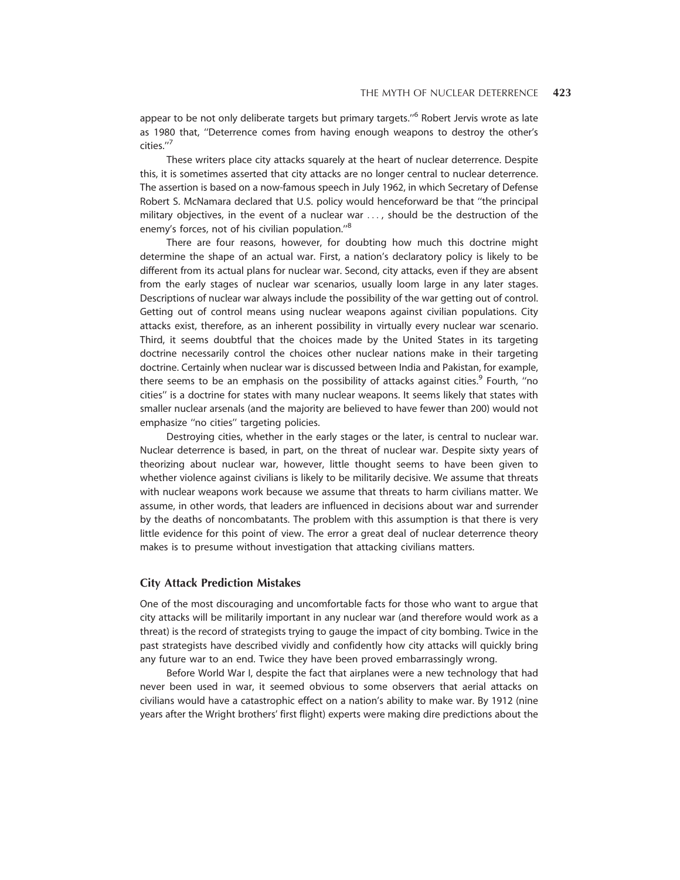appear to be not only deliberate targets but primary targets."<sup>6</sup> Robert Jervis wrote as late as 1980 that, ''Deterrence comes from having enough weapons to destroy the other's cities.''<sup>7</sup>

These writers place city attacks squarely at the heart of nuclear deterrence. Despite this, it is sometimes asserted that city attacks are no longer central to nuclear deterrence. The assertion is based on a now-famous speech in July 1962, in which Secretary of Defense Robert S. McNamara declared that U.S. policy would henceforward be that ''the principal military objectives, in the event of a nuclear war . . . , should be the destruction of the enemy's forces, not of his civilian population."<sup>8</sup>

There are four reasons, however, for doubting how much this doctrine might determine the shape of an actual war. First, a nation's declaratory policy is likely to be different from its actual plans for nuclear war. Second, city attacks, even if they are absent from the early stages of nuclear war scenarios, usually loom large in any later stages. Descriptions of nuclear war always include the possibility of the war getting out of control. Getting out of control means using nuclear weapons against civilian populations. City attacks exist, therefore, as an inherent possibility in virtually every nuclear war scenario. Third, it seems doubtful that the choices made by the United States in its targeting doctrine necessarily control the choices other nuclear nations make in their targeting doctrine. Certainly when nuclear war is discussed between India and Pakistan, for example, there seems to be an emphasis on the possibility of attacks against cities.<sup>9</sup> Fourth, "no cities'' is a doctrine for states with many nuclear weapons. It seems likely that states with smaller nuclear arsenals (and the majority are believed to have fewer than 200) would not emphasize ''no cities'' targeting policies.

Destroying cities, whether in the early stages or the later, is central to nuclear war. Nuclear deterrence is based, in part, on the threat of nuclear war. Despite sixty years of theorizing about nuclear war, however, little thought seems to have been given to whether violence against civilians is likely to be militarily decisive. We assume that threats with nuclear weapons work because we assume that threats to harm civilians matter. We assume, in other words, that leaders are influenced in decisions about war and surrender by the deaths of noncombatants. The problem with this assumption is that there is very little evidence for this point of view. The error a great deal of nuclear deterrence theory makes is to presume without investigation that attacking civilians matters.

## City Attack Prediction Mistakes

One of the most discouraging and uncomfortable facts for those who want to argue that city attacks will be militarily important in any nuclear war (and therefore would work as a threat) is the record of strategists trying to gauge the impact of city bombing. Twice in the past strategists have described vividly and confidently how city attacks will quickly bring any future war to an end. Twice they have been proved embarrassingly wrong.

Before World War I, despite the fact that airplanes were a new technology that had never been used in war, it seemed obvious to some observers that aerial attacks on civilians would have a catastrophic effect on a nation's ability to make war. By 1912 (nine years after the Wright brothers' first flight) experts were making dire predictions about the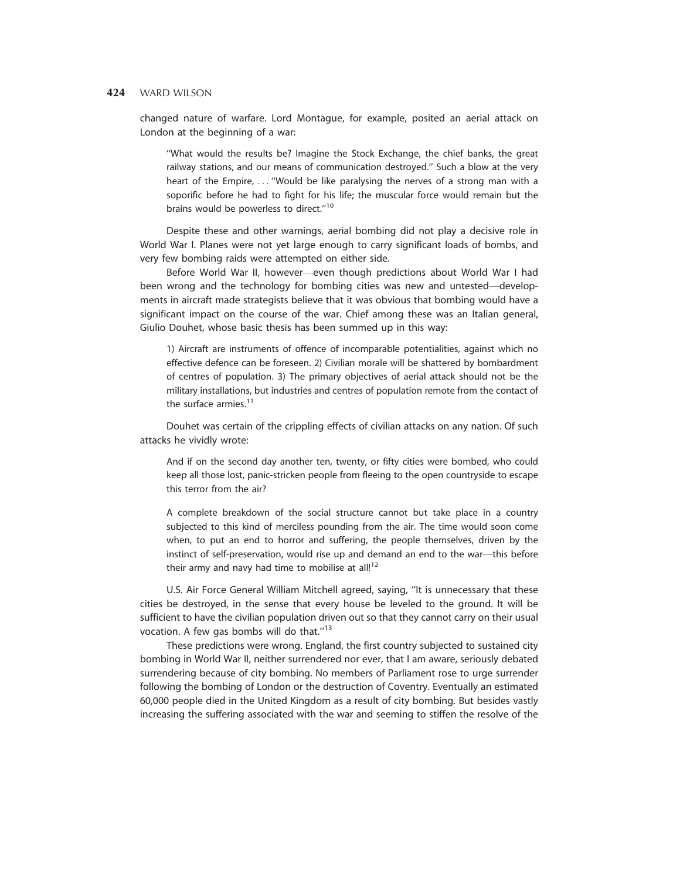changed nature of warfare. Lord Montague, for example, posited an aerial attack on London at the beginning of a war:

''What would the results be? Imagine the Stock Exchange, the chief banks, the great railway stations, and our means of communication destroyed.'' Such a blow at the very heart of the Empire, ... "Would be like paralysing the nerves of a strong man with a soporific before he had to fight for his life; the muscular force would remain but the brains would be powerless to direct."<sup>10</sup>

Despite these and other warnings, aerial bombing did not play a decisive role in World War I. Planes were not yet large enough to carry significant loads of bombs, and very few bombing raids were attempted on either side.

Before World War II, however—even though predictions about World War I had been wrong and the technology for bombing cities was new and untested—developments in aircraft made strategists believe that it was obvious that bombing would have a significant impact on the course of the war. Chief among these was an Italian general, Giulio Douhet, whose basic thesis has been summed up in this way:

1) Aircraft are instruments of offence of incomparable potentialities, against which no effective defence can be foreseen. 2) Civilian morale will be shattered by bombardment of centres of population. 3) The primary objectives of aerial attack should not be the military installations, but industries and centres of population remote from the contact of the surface armies.<sup>11</sup>

Douhet was certain of the crippling effects of civilian attacks on any nation. Of such attacks he vividly wrote:

And if on the second day another ten, twenty, or fifty cities were bombed, who could keep all those lost, panic-stricken people from fleeing to the open countryside to escape this terror from the air?

A complete breakdown of the social structure cannot but take place in a country subjected to this kind of merciless pounding from the air. The time would soon come when, to put an end to horror and suffering, the people themselves, driven by the instinct of self-preservation, would rise up and demand an end to the war—this before their army and navy had time to mobilise at all! $12$ 

U.S. Air Force General William Mitchell agreed, saying, ''It is unnecessary that these cities be destroyed, in the sense that every house be leveled to the ground. It will be sufficient to have the civilian population driven out so that they cannot carry on their usual vocation. A few gas bombs will do that."<sup>13</sup>

These predictions were wrong. England, the first country subjected to sustained city bombing in World War II, neither surrendered nor ever, that I am aware, seriously debated surrendering because of city bombing. No members of Parliament rose to urge surrender following the bombing of London or the destruction of Coventry. Eventually an estimated 60,000 people died in the United Kingdom as a result of city bombing. But besides vastly increasing the suffering associated with the war and seeming to stiffen the resolve of the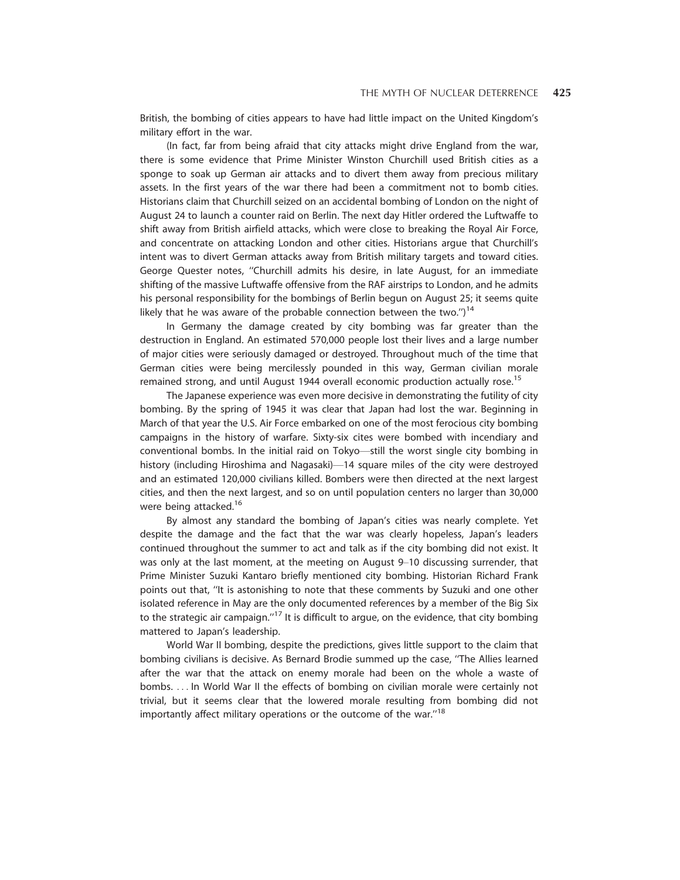British, the bombing of cities appears to have had little impact on the United Kingdom's military effort in the war.

(In fact, far from being afraid that city attacks might drive England from the war, there is some evidence that Prime Minister Winston Churchill used British cities as a sponge to soak up German air attacks and to divert them away from precious military assets. In the first years of the war there had been a commitment not to bomb cities. Historians claim that Churchill seized on an accidental bombing of London on the night of August 24 to launch a counter raid on Berlin. The next day Hitler ordered the Luftwaffe to shift away from British airfield attacks, which were close to breaking the Royal Air Force, and concentrate on attacking London and other cities. Historians argue that Churchill's intent was to divert German attacks away from British military targets and toward cities. George Quester notes, ''Churchill admits his desire, in late August, for an immediate shifting of the massive Luftwaffe offensive from the RAF airstrips to London, and he admits his personal responsibility for the bombings of Berlin begun on August 25; it seems quite likely that he was aware of the probable connection between the two.")<sup>14</sup>

In Germany the damage created by city bombing was far greater than the destruction in England. An estimated 570,000 people lost their lives and a large number of major cities were seriously damaged or destroyed. Throughout much of the time that German cities were being mercilessly pounded in this way, German civilian morale remained strong, and until August 1944 overall economic production actually rose.<sup>15</sup>

The Japanese experience was even more decisive in demonstrating the futility of city bombing. By the spring of 1945 it was clear that Japan had lost the war. Beginning in March of that year the U.S. Air Force embarked on one of the most ferocious city bombing campaigns in the history of warfare. Sixty-six cites were bombed with incendiary and conventional bombs. In the initial raid on Tokyo—still the worst single city bombing in history (including Hiroshima and Nagasaki)—14 square miles of the city were destroyed and an estimated 120,000 civilians killed. Bombers were then directed at the next largest cities, and then the next largest, and so on until population centers no larger than 30,000 were being attacked.<sup>16</sup>

By almost any standard the bombing of Japan's cities was nearly complete. Yet despite the damage and the fact that the war was clearly hopeless, Japan's leaders continued throughout the summer to act and talk as if the city bombing did not exist. It was only at the last moment, at the meeting on August 9-10 discussing surrender, that Prime Minister Suzuki Kantaro briefly mentioned city bombing. Historian Richard Frank points out that, ''It is astonishing to note that these comments by Suzuki and one other isolated reference in May are the only documented references by a member of the Big Six to the strategic air campaign."<sup>17</sup> It is difficult to argue, on the evidence, that city bombing mattered to Japan's leadership.

World War II bombing, despite the predictions, gives little support to the claim that bombing civilians is decisive. As Bernard Brodie summed up the case, ''The Allies learned after the war that the attack on enemy morale had been on the whole a waste of bombs. . . . In World War II the effects of bombing on civilian morale were certainly not trivial, but it seems clear that the lowered morale resulting from bombing did not importantly affect military operations or the outcome of the war.''<sup>18</sup>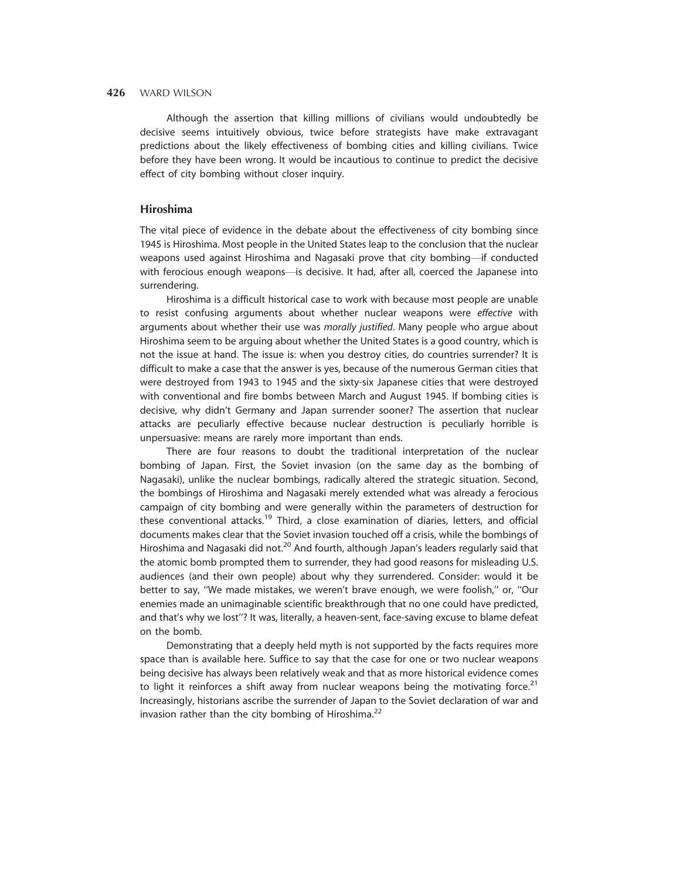Although the assertion that killing millions of civilians would undoubtedly be decisive seems intuitively obvious, twice before strategists have make extravagant predictions about the likely effectiveness of bombing cities and killing civilians. Twice before they have been wrong. It would be incautious to continue to predict the decisive effect of city bombing without closer inquiry.

## Hiroshima

The vital piece of evidence in the debate about the effectiveness of city bombing since 1945 is Hiroshima. Most people in the United States leap to the conclusion that the nuclear weapons used against Hiroshima and Nagasaki prove that city bombing—if conducted with ferocious enough weapons—is decisive. It had, after all, coerced the Japanese into surrendering.

Hiroshima is a difficult historical case to work with because most people are unable to resist confusing arguments about whether nuclear weapons were *effective* with arguments about whether their use was morally justified. Many people who argue about Hiroshima seem to be arguing about whether the United States is a good country, which is not the issue at hand. The issue is: when you destroy cities, do countries surrender? It is difficult to make a case that the answer is yes, because of the numerous German cities that were destroyed from 1943 to 1945 and the sixty-six Japanese cities that were destroyed with conventional and fire bombs between March and August 1945. If bombing cities is decisive, why didn't Germany and Japan surrender sooner? The assertion that nuclear attacks are peculiarly effective because nuclear destruction is peculiarly horrible is unpersuasive: means are rarely more important than ends.

There are four reasons to doubt the traditional interpretation of the nuclear bombing of Japan. First, the Soviet invasion (on the same day as the bombing of Nagasaki), unlike the nuclear bombings, radically altered the strategic situation. Second, the bombings of Hiroshima and Nagasaki merely extended what was already a ferocious campaign of city bombing and were generally within the parameters of destruction for these conventional attacks.<sup>19</sup> Third, a close examination of diaries, letters, and official documents makes clear that the Soviet invasion touched off a crisis, while the bombings of Hiroshima and Nagasaki did not.<sup>20</sup> And fourth, although Japan's leaders regularly said that the atomic bomb prompted them to surrender, they had good reasons for misleading U.S. audiences (and their own people) about why they surrendered. Consider: would it be better to say, ''We made mistakes, we weren't brave enough, we were foolish,'' or, ''Our enemies made an unimaginable scientific breakthrough that no one could have predicted, and that's why we lost''? It was, literally, a heaven-sent, face-saving excuse to blame defeat on the bomb.

Demonstrating that a deeply held myth is not supported by the facts requires more space than is available here. Suffice to say that the case for one or two nuclear weapons being decisive has always been relatively weak and that as more historical evidence comes to light it reinforces a shift away from nuclear weapons being the motivating force.<sup>21</sup> Increasingly, historians ascribe the surrender of Japan to the Soviet declaration of war and invasion rather than the city bombing of Hiroshima.<sup>22</sup>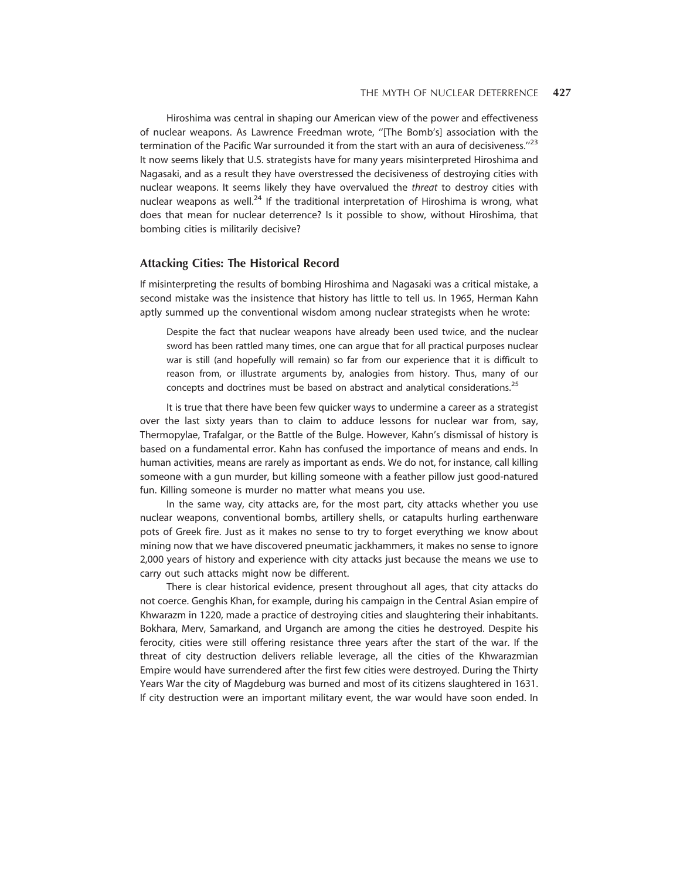## THE MYTH OF NUCLEAR DETERRENCE 427

Hiroshima was central in shaping our American view of the power and effectiveness of nuclear weapons. As Lawrence Freedman wrote, ''[The Bomb's] association with the termination of the Pacific War surrounded it from the start with an aura of decisiveness."<sup>23</sup> It now seems likely that U.S. strategists have for many years misinterpreted Hiroshima and Nagasaki, and as a result they have overstressed the decisiveness of destroying cities with nuclear weapons. It seems likely they have overvalued the threat to destroy cities with nuclear weapons as well.<sup>24</sup> If the traditional interpretation of Hiroshima is wrong, what does that mean for nuclear deterrence? Is it possible to show, without Hiroshima, that bombing cities is militarily decisive?

## Attacking Cities: The Historical Record

If misinterpreting the results of bombing Hiroshima and Nagasaki was a critical mistake, a second mistake was the insistence that history has little to tell us. In 1965, Herman Kahn aptly summed up the conventional wisdom among nuclear strategists when he wrote:

Despite the fact that nuclear weapons have already been used twice, and the nuclear sword has been rattled many times, one can argue that for all practical purposes nuclear war is still (and hopefully will remain) so far from our experience that it is difficult to reason from, or illustrate arguments by, analogies from history. Thus, many of our concepts and doctrines must be based on abstract and analytical considerations.<sup>25</sup>

It is true that there have been few quicker ways to undermine a career as a strategist over the last sixty years than to claim to adduce lessons for nuclear war from, say, Thermopylae, Trafalgar, or the Battle of the Bulge. However, Kahn's dismissal of history is based on a fundamental error. Kahn has confused the importance of means and ends. In human activities, means are rarely as important as ends. We do not, for instance, call killing someone with a gun murder, but killing someone with a feather pillow just good-natured fun. Killing someone is murder no matter what means you use.

In the same way, city attacks are, for the most part, city attacks whether you use nuclear weapons, conventional bombs, artillery shells, or catapults hurling earthenware pots of Greek fire. Just as it makes no sense to try to forget everything we know about mining now that we have discovered pneumatic jackhammers, it makes no sense to ignore 2,000 years of history and experience with city attacks just because the means we use to carry out such attacks might now be different.

There is clear historical evidence, present throughout all ages, that city attacks do not coerce. Genghis Khan, for example, during his campaign in the Central Asian empire of Khwarazm in 1220, made a practice of destroying cities and slaughtering their inhabitants. Bokhara, Merv, Samarkand, and Urganch are among the cities he destroyed. Despite his ferocity, cities were still offering resistance three years after the start of the war. If the threat of city destruction delivers reliable leverage, all the cities of the Khwarazmian Empire would have surrendered after the first few cities were destroyed. During the Thirty Years War the city of Magdeburg was burned and most of its citizens slaughtered in 1631. If city destruction were an important military event, the war would have soon ended. In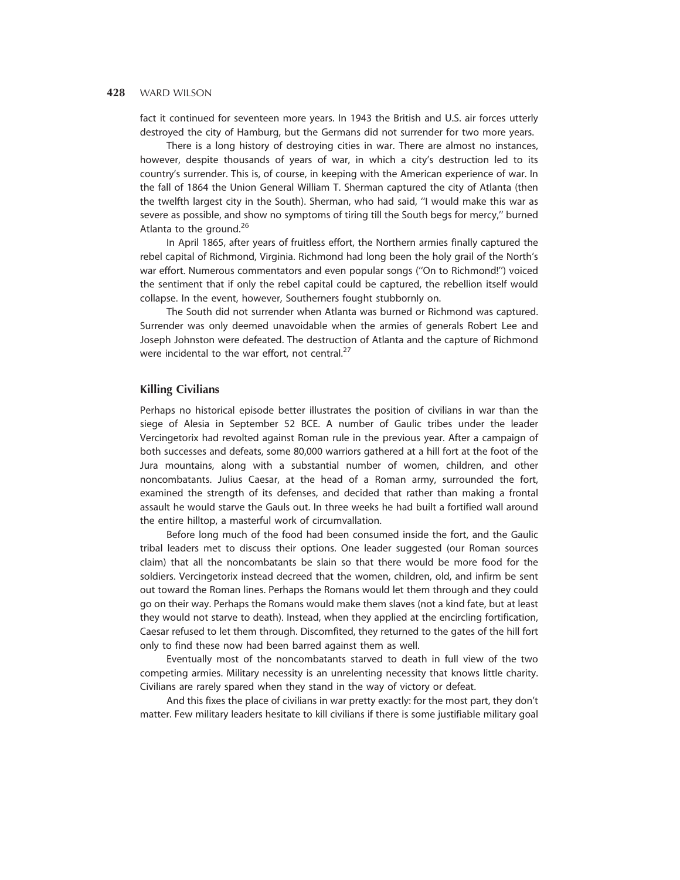fact it continued for seventeen more years. In 1943 the British and U.S. air forces utterly destroyed the city of Hamburg, but the Germans did not surrender for two more years.

There is a long history of destroying cities in war. There are almost no instances, however, despite thousands of years of war, in which a city's destruction led to its country's surrender. This is, of course, in keeping with the American experience of war. In the fall of 1864 the Union General William T. Sherman captured the city of Atlanta (then the twelfth largest city in the South). Sherman, who had said, ''I would make this war as severe as possible, and show no symptoms of tiring till the South begs for mercy,'' burned Atlanta to the ground.<sup>26</sup>

In April 1865, after years of fruitless effort, the Northern armies finally captured the rebel capital of Richmond, Virginia. Richmond had long been the holy grail of the North's war effort. Numerous commentators and even popular songs (''On to Richmond!'') voiced the sentiment that if only the rebel capital could be captured, the rebellion itself would collapse. In the event, however, Southerners fought stubbornly on.

The South did not surrender when Atlanta was burned or Richmond was captured. Surrender was only deemed unavoidable when the armies of generals Robert Lee and Joseph Johnston were defeated. The destruction of Atlanta and the capture of Richmond were incidental to the war effort, not central. $27$ 

#### Killing Civilians

Perhaps no historical episode better illustrates the position of civilians in war than the siege of Alesia in September 52 BCE. A number of Gaulic tribes under the leader Vercingetorix had revolted against Roman rule in the previous year. After a campaign of both successes and defeats, some 80,000 warriors gathered at a hill fort at the foot of the Jura mountains, along with a substantial number of women, children, and other noncombatants. Julius Caesar, at the head of a Roman army, surrounded the fort, examined the strength of its defenses, and decided that rather than making a frontal assault he would starve the Gauls out. In three weeks he had built a fortified wall around the entire hilltop, a masterful work of circumvallation.

Before long much of the food had been consumed inside the fort, and the Gaulic tribal leaders met to discuss their options. One leader suggested (our Roman sources claim) that all the noncombatants be slain so that there would be more food for the soldiers. Vercingetorix instead decreed that the women, children, old, and infirm be sent out toward the Roman lines. Perhaps the Romans would let them through and they could go on their way. Perhaps the Romans would make them slaves (not a kind fate, but at least they would not starve to death). Instead, when they applied at the encircling fortification, Caesar refused to let them through. Discomfited, they returned to the gates of the hill fort only to find these now had been barred against them as well.

Eventually most of the noncombatants starved to death in full view of the two competing armies. Military necessity is an unrelenting necessity that knows little charity. Civilians are rarely spared when they stand in the way of victory or defeat.

And this fixes the place of civilians in war pretty exactly: for the most part, they don't matter. Few military leaders hesitate to kill civilians if there is some justifiable military goal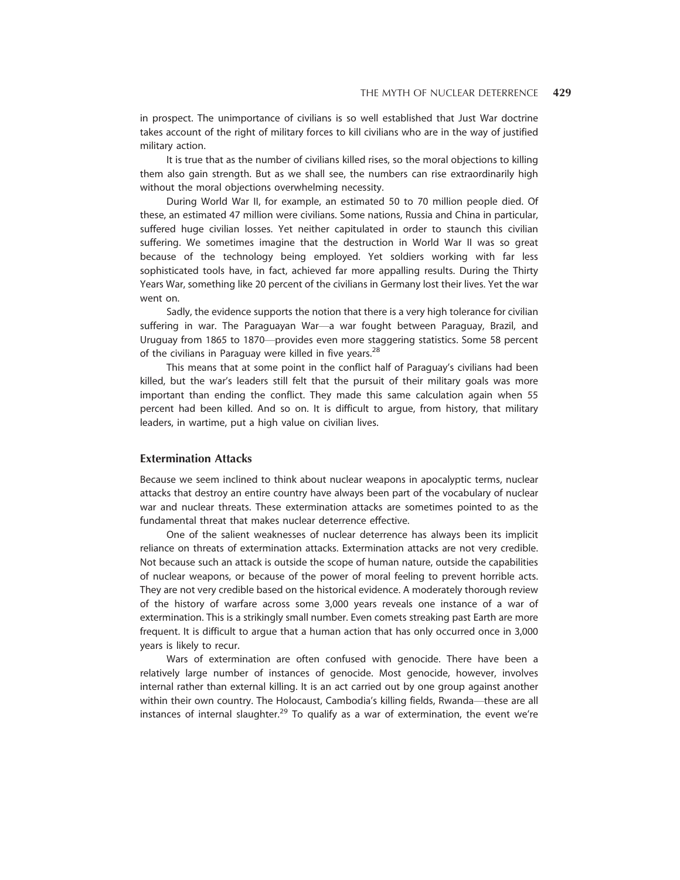in prospect. The unimportance of civilians is so well established that Just War doctrine takes account of the right of military forces to kill civilians who are in the way of justified military action.

It is true that as the number of civilians killed rises, so the moral objections to killing them also gain strength. But as we shall see, the numbers can rise extraordinarily high without the moral objections overwhelming necessity.

During World War II, for example, an estimated 50 to 70 million people died. Of these, an estimated 47 million were civilians. Some nations, Russia and China in particular, suffered huge civilian losses. Yet neither capitulated in order to staunch this civilian suffering. We sometimes imagine that the destruction in World War II was so great because of the technology being employed. Yet soldiers working with far less sophisticated tools have, in fact, achieved far more appalling results. During the Thirty Years War, something like 20 percent of the civilians in Germany lost their lives. Yet the war went on.

Sadly, the evidence supports the notion that there is a very high tolerance for civilian suffering in war. The Paraguayan War-a war fought between Paraguay, Brazil, and Uruguay from 1865 to 1870—provides even more staggering statistics. Some 58 percent of the civilians in Paraguay were killed in five years. $^{28}$ 

This means that at some point in the conflict half of Paraguay's civilians had been killed, but the war's leaders still felt that the pursuit of their military goals was more important than ending the conflict. They made this same calculation again when 55 percent had been killed. And so on. It is difficult to argue, from history, that military leaders, in wartime, put a high value on civilian lives.

## Extermination Attacks

Because we seem inclined to think about nuclear weapons in apocalyptic terms, nuclear attacks that destroy an entire country have always been part of the vocabulary of nuclear war and nuclear threats. These extermination attacks are sometimes pointed to as the fundamental threat that makes nuclear deterrence effective.

One of the salient weaknesses of nuclear deterrence has always been its implicit reliance on threats of extermination attacks. Extermination attacks are not very credible. Not because such an attack is outside the scope of human nature, outside the capabilities of nuclear weapons, or because of the power of moral feeling to prevent horrible acts. They are not very credible based on the historical evidence. A moderately thorough review of the history of warfare across some 3,000 years reveals one instance of a war of extermination. This is a strikingly small number. Even comets streaking past Earth are more frequent. It is difficult to argue that a human action that has only occurred once in 3,000 years is likely to recur.

Wars of extermination are often confused with genocide. There have been a relatively large number of instances of genocide. Most genocide, however, involves internal rather than external killing. It is an act carried out by one group against another within their own country. The Holocaust, Cambodia's killing fields, Rwanda—these are all instances of internal slaughter.<sup>29</sup> To qualify as a war of extermination, the event we're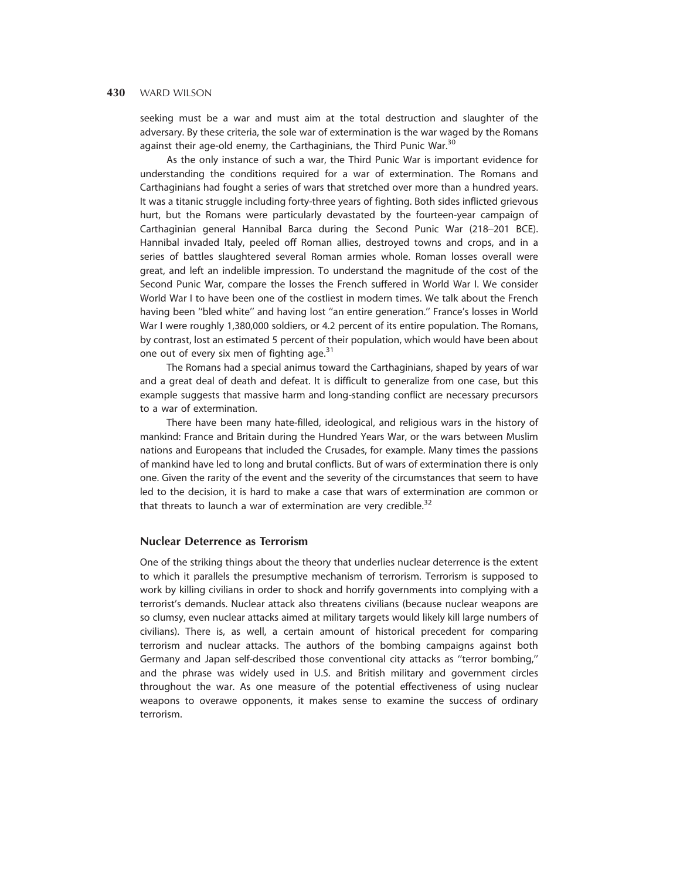seeking must be a war and must aim at the total destruction and slaughter of the adversary. By these criteria, the sole war of extermination is the war waged by the Romans against their age-old enemy, the Carthaginians, the Third Punic War.<sup>30</sup>

As the only instance of such a war, the Third Punic War is important evidence for understanding the conditions required for a war of extermination. The Romans and Carthaginians had fought a series of wars that stretched over more than a hundred years. It was a titanic struggle including forty-three years of fighting. Both sides inflicted grievous hurt, but the Romans were particularly devastated by the fourteen-year campaign of Carthaginian general Hannibal Barca during the Second Punic War (218-201 BCE). Hannibal invaded Italy, peeled off Roman allies, destroyed towns and crops, and in a series of battles slaughtered several Roman armies whole. Roman losses overall were great, and left an indelible impression. To understand the magnitude of the cost of the Second Punic War, compare the losses the French suffered in World War I. We consider World War I to have been one of the costliest in modern times. We talk about the French having been ''bled white'' and having lost ''an entire generation.'' France's losses in World War I were roughly 1,380,000 soldiers, or 4.2 percent of its entire population. The Romans, by contrast, lost an estimated 5 percent of their population, which would have been about one out of every six men of fighting age.<sup>31</sup>

The Romans had a special animus toward the Carthaginians, shaped by years of war and a great deal of death and defeat. It is difficult to generalize from one case, but this example suggests that massive harm and long-standing conflict are necessary precursors to a war of extermination.

There have been many hate-filled, ideological, and religious wars in the history of mankind: France and Britain during the Hundred Years War, or the wars between Muslim nations and Europeans that included the Crusades, for example. Many times the passions of mankind have led to long and brutal conflicts. But of wars of extermination there is only one. Given the rarity of the event and the severity of the circumstances that seem to have led to the decision, it is hard to make a case that wars of extermination are common or that threats to launch a war of extermination are very credible. $32$ 

## Nuclear Deterrence as Terrorism

One of the striking things about the theory that underlies nuclear deterrence is the extent to which it parallels the presumptive mechanism of terrorism. Terrorism is supposed to work by killing civilians in order to shock and horrify governments into complying with a terrorist's demands. Nuclear attack also threatens civilians (because nuclear weapons are so clumsy, even nuclear attacks aimed at military targets would likely kill large numbers of civilians). There is, as well, a certain amount of historical precedent for comparing terrorism and nuclear attacks. The authors of the bombing campaigns against both Germany and Japan self-described those conventional city attacks as ''terror bombing,'' and the phrase was widely used in U.S. and British military and government circles throughout the war. As one measure of the potential effectiveness of using nuclear weapons to overawe opponents, it makes sense to examine the success of ordinary terrorism.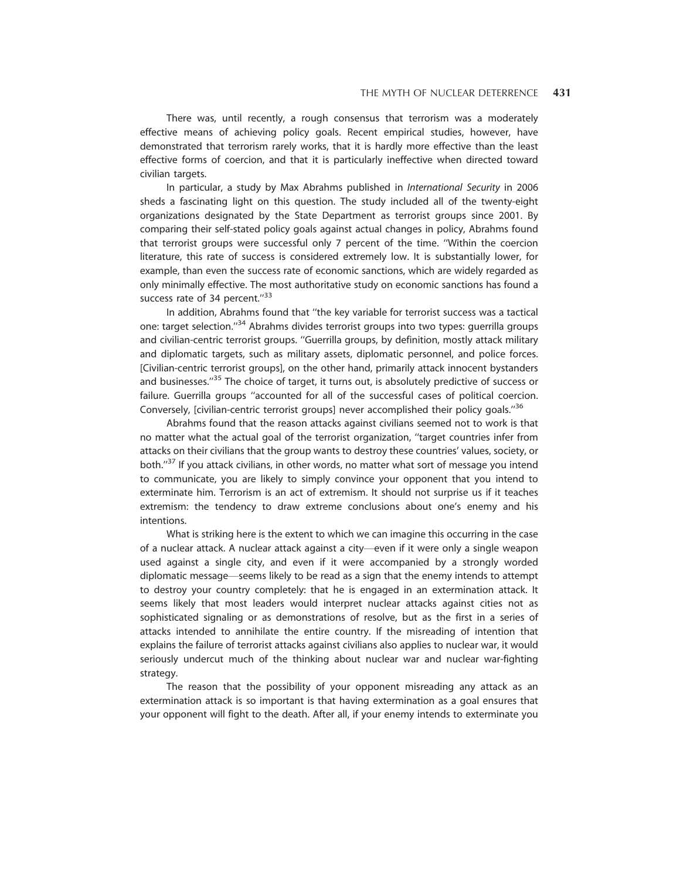## THE MYTH OF NUCLEAR DETERRENCE 431

There was, until recently, a rough consensus that terrorism was a moderately effective means of achieving policy goals. Recent empirical studies, however, have demonstrated that terrorism rarely works, that it is hardly more effective than the least effective forms of coercion, and that it is particularly ineffective when directed toward civilian targets.

In particular, a study by Max Abrahms published in International Security in 2006 sheds a fascinating light on this question. The study included all of the twenty-eight organizations designated by the State Department as terrorist groups since 2001. By comparing their self-stated policy goals against actual changes in policy, Abrahms found that terrorist groups were successful only 7 percent of the time. ''Within the coercion literature, this rate of success is considered extremely low. It is substantially lower, for example, than even the success rate of economic sanctions, which are widely regarded as only minimally effective. The most authoritative study on economic sanctions has found a success rate of 34 percent."<sup>33</sup>

In addition, Abrahms found that ''the key variable for terrorist success was a tactical one: target selection.''<sup>34</sup> Abrahms divides terrorist groups into two types: guerrilla groups and civilian-centric terrorist groups. ''Guerrilla groups, by definition, mostly attack military and diplomatic targets, such as military assets, diplomatic personnel, and police forces. [Civilian-centric terrorist groups], on the other hand, primarily attack innocent bystanders and businesses."<sup>35</sup> The choice of target, it turns out, is absolutely predictive of success or failure. Guerrilla groups ''accounted for all of the successful cases of political coercion. Conversely, [civilian-centric terrorist groups] never accomplished their policy goals.''36

Abrahms found that the reason attacks against civilians seemed not to work is that no matter what the actual goal of the terrorist organization, ''target countries infer from attacks on their civilians that the group wants to destroy these countries' values, society, or both."<sup>37</sup> If you attack civilians, in other words, no matter what sort of message you intend to communicate, you are likely to simply convince your opponent that you intend to exterminate him. Terrorism is an act of extremism. It should not surprise us if it teaches extremism: the tendency to draw extreme conclusions about one's enemy and his intentions.

What is striking here is the extent to which we can imagine this occurring in the case of a nuclear attack. A nuclear attack against a city—even if it were only a single weapon used against a single city, and even if it were accompanied by a strongly worded diplomatic message—seems likely to be read as a sign that the enemy intends to attempt to destroy your country completely: that he is engaged in an extermination attack. It seems likely that most leaders would interpret nuclear attacks against cities not as sophisticated signaling or as demonstrations of resolve, but as the first in a series of attacks intended to annihilate the entire country. If the misreading of intention that explains the failure of terrorist attacks against civilians also applies to nuclear war, it would seriously undercut much of the thinking about nuclear war and nuclear war-fighting strategy.

The reason that the possibility of your opponent misreading any attack as an extermination attack is so important is that having extermination as a goal ensures that your opponent will fight to the death. After all, if your enemy intends to exterminate you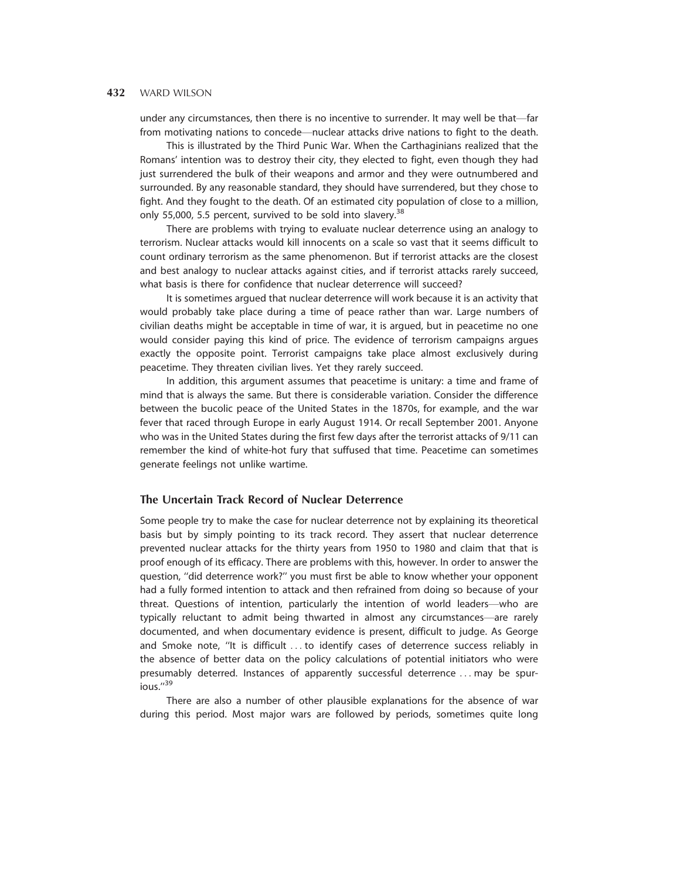under any circumstances, then there is no incentive to surrender. It may well be that—far from motivating nations to concede—nuclear attacks drive nations to fight to the death.

This is illustrated by the Third Punic War. When the Carthaginians realized that the Romans' intention was to destroy their city, they elected to fight, even though they had just surrendered the bulk of their weapons and armor and they were outnumbered and surrounded. By any reasonable standard, they should have surrendered, but they chose to fight. And they fought to the death. Of an estimated city population of close to a million, only 55,000, 5.5 percent, survived to be sold into slavery. $38$ 

There are problems with trying to evaluate nuclear deterrence using an analogy to terrorism. Nuclear attacks would kill innocents on a scale so vast that it seems difficult to count ordinary terrorism as the same phenomenon. But if terrorist attacks are the closest and best analogy to nuclear attacks against cities, and if terrorist attacks rarely succeed, what basis is there for confidence that nuclear deterrence will succeed?

It is sometimes argued that nuclear deterrence will work because it is an activity that would probably take place during a time of peace rather than war. Large numbers of civilian deaths might be acceptable in time of war, it is argued, but in peacetime no one would consider paying this kind of price. The evidence of terrorism campaigns argues exactly the opposite point. Terrorist campaigns take place almost exclusively during peacetime. They threaten civilian lives. Yet they rarely succeed.

In addition, this argument assumes that peacetime is unitary: a time and frame of mind that is always the same. But there is considerable variation. Consider the difference between the bucolic peace of the United States in the 1870s, for example, and the war fever that raced through Europe in early August 1914. Or recall September 2001. Anyone who was in the United States during the first few days after the terrorist attacks of 9/11 can remember the kind of white-hot fury that suffused that time. Peacetime can sometimes generate feelings not unlike wartime.

## The Uncertain Track Record of Nuclear Deterrence

Some people try to make the case for nuclear deterrence not by explaining its theoretical basis but by simply pointing to its track record. They assert that nuclear deterrence prevented nuclear attacks for the thirty years from 1950 to 1980 and claim that that is proof enough of its efficacy. There are problems with this, however. In order to answer the question, ''did deterrence work?'' you must first be able to know whether your opponent had a fully formed intention to attack and then refrained from doing so because of your threat. Questions of intention, particularly the intention of world leaders—who are typically reluctant to admit being thwarted in almost any circumstances—are rarely documented, and when documentary evidence is present, difficult to judge. As George and Smoke note, "It is difficult ... to identify cases of deterrence success reliably in the absence of better data on the policy calculations of potential initiators who were presumably deterred. Instances of apparently successful deterrence . . . may be spur $i$ ous." $39$ 

There are also a number of other plausible explanations for the absence of war during this period. Most major wars are followed by periods, sometimes quite long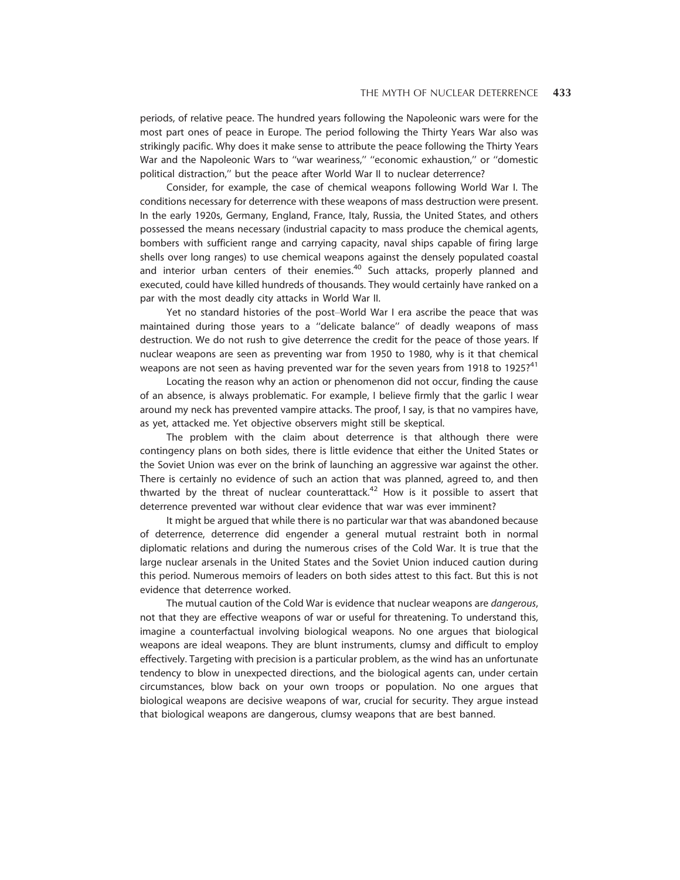periods, of relative peace. The hundred years following the Napoleonic wars were for the most part ones of peace in Europe. The period following the Thirty Years War also was strikingly pacific. Why does it make sense to attribute the peace following the Thirty Years War and the Napoleonic Wars to "war weariness," "economic exhaustion," or "domestic political distraction,'' but the peace after World War II to nuclear deterrence?

Consider, for example, the case of chemical weapons following World War I. The conditions necessary for deterrence with these weapons of mass destruction were present. In the early 1920s, Germany, England, France, Italy, Russia, the United States, and others possessed the means necessary (industrial capacity to mass produce the chemical agents, bombers with sufficient range and carrying capacity, naval ships capable of firing large shells over long ranges) to use chemical weapons against the densely populated coastal and interior urban centers of their enemies.<sup>40</sup> Such attacks, properly planned and executed, could have killed hundreds of thousands. They would certainly have ranked on a par with the most deadly city attacks in World War II.

Yet no standard histories of the post-World War I era ascribe the peace that was maintained during those years to a ''delicate balance'' of deadly weapons of mass destruction. We do not rush to give deterrence the credit for the peace of those years. If nuclear weapons are seen as preventing war from 1950 to 1980, why is it that chemical weapons are not seen as having prevented war for the seven years from 1918 to 1925? $41$ 

Locating the reason why an action or phenomenon did not occur, finding the cause of an absence, is always problematic. For example, I believe firmly that the garlic I wear around my neck has prevented vampire attacks. The proof, I say, is that no vampires have, as yet, attacked me. Yet objective observers might still be skeptical.

The problem with the claim about deterrence is that although there were contingency plans on both sides, there is little evidence that either the United States or the Soviet Union was ever on the brink of launching an aggressive war against the other. There is certainly no evidence of such an action that was planned, agreed to, and then thwarted by the threat of nuclear counterattack.<sup>42</sup> How is it possible to assert that deterrence prevented war without clear evidence that war was ever imminent?

It might be argued that while there is no particular war that was abandoned because of deterrence, deterrence did engender a general mutual restraint both in normal diplomatic relations and during the numerous crises of the Cold War. It is true that the large nuclear arsenals in the United States and the Soviet Union induced caution during this period. Numerous memoirs of leaders on both sides attest to this fact. But this is not evidence that deterrence worked.

The mutual caution of the Cold War is evidence that nuclear weapons are dangerous, not that they are effective weapons of war or useful for threatening. To understand this, imagine a counterfactual involving biological weapons. No one argues that biological weapons are ideal weapons. They are blunt instruments, clumsy and difficult to employ effectively. Targeting with precision is a particular problem, as the wind has an unfortunate tendency to blow in unexpected directions, and the biological agents can, under certain circumstances, blow back on your own troops or population. No one argues that biological weapons are decisive weapons of war, crucial for security. They argue instead that biological weapons are dangerous, clumsy weapons that are best banned.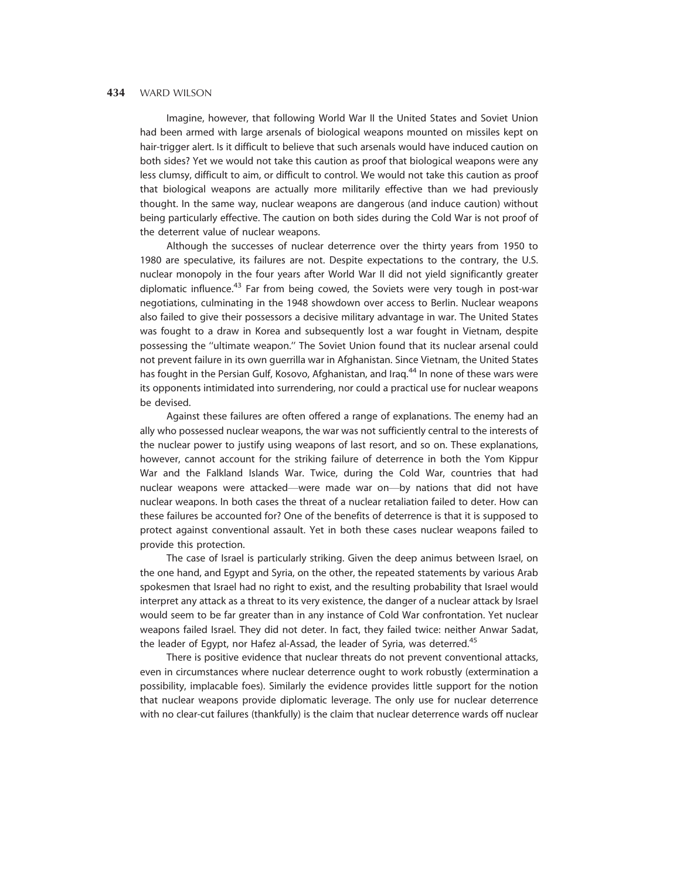Imagine, however, that following World War II the United States and Soviet Union had been armed with large arsenals of biological weapons mounted on missiles kept on hair-trigger alert. Is it difficult to believe that such arsenals would have induced caution on both sides? Yet we would not take this caution as proof that biological weapons were any less clumsy, difficult to aim, or difficult to control. We would not take this caution as proof that biological weapons are actually more militarily effective than we had previously thought. In the same way, nuclear weapons are dangerous (and induce caution) without being particularly effective. The caution on both sides during the Cold War is not proof of the deterrent value of nuclear weapons.

Although the successes of nuclear deterrence over the thirty years from 1950 to 1980 are speculative, its failures are not. Despite expectations to the contrary, the U.S. nuclear monopoly in the four years after World War II did not yield significantly greater diplomatic influence. $43$  Far from being cowed, the Soviets were very tough in post-war negotiations, culminating in the 1948 showdown over access to Berlin. Nuclear weapons also failed to give their possessors a decisive military advantage in war. The United States was fought to a draw in Korea and subsequently lost a war fought in Vietnam, despite possessing the ''ultimate weapon.'' The Soviet Union found that its nuclear arsenal could not prevent failure in its own guerrilla war in Afghanistan. Since Vietnam, the United States has fought in the Persian Gulf, Kosovo, Afghanistan, and Iraq.<sup>44</sup> In none of these wars were its opponents intimidated into surrendering, nor could a practical use for nuclear weapons be devised.

Against these failures are often offered a range of explanations. The enemy had an ally who possessed nuclear weapons, the war was not sufficiently central to the interests of the nuclear power to justify using weapons of last resort, and so on. These explanations, however, cannot account for the striking failure of deterrence in both the Yom Kippur War and the Falkland Islands War. Twice, during the Cold War, countries that had nuclear weapons were attacked-were made war on-by nations that did not have nuclear weapons. In both cases the threat of a nuclear retaliation failed to deter. How can these failures be accounted for? One of the benefits of deterrence is that it is supposed to protect against conventional assault. Yet in both these cases nuclear weapons failed to provide this protection.

The case of Israel is particularly striking. Given the deep animus between Israel, on the one hand, and Egypt and Syria, on the other, the repeated statements by various Arab spokesmen that Israel had no right to exist, and the resulting probability that Israel would interpret any attack as a threat to its very existence, the danger of a nuclear attack by Israel would seem to be far greater than in any instance of Cold War confrontation. Yet nuclear weapons failed Israel. They did not deter. In fact, they failed twice: neither Anwar Sadat, the leader of Egypt, nor Hafez al-Assad, the leader of Syria, was deterred.<sup>45</sup>

There is positive evidence that nuclear threats do not prevent conventional attacks, even in circumstances where nuclear deterrence ought to work robustly (extermination a possibility, implacable foes). Similarly the evidence provides little support for the notion that nuclear weapons provide diplomatic leverage. The only use for nuclear deterrence with no clear-cut failures (thankfully) is the claim that nuclear deterrence wards off nuclear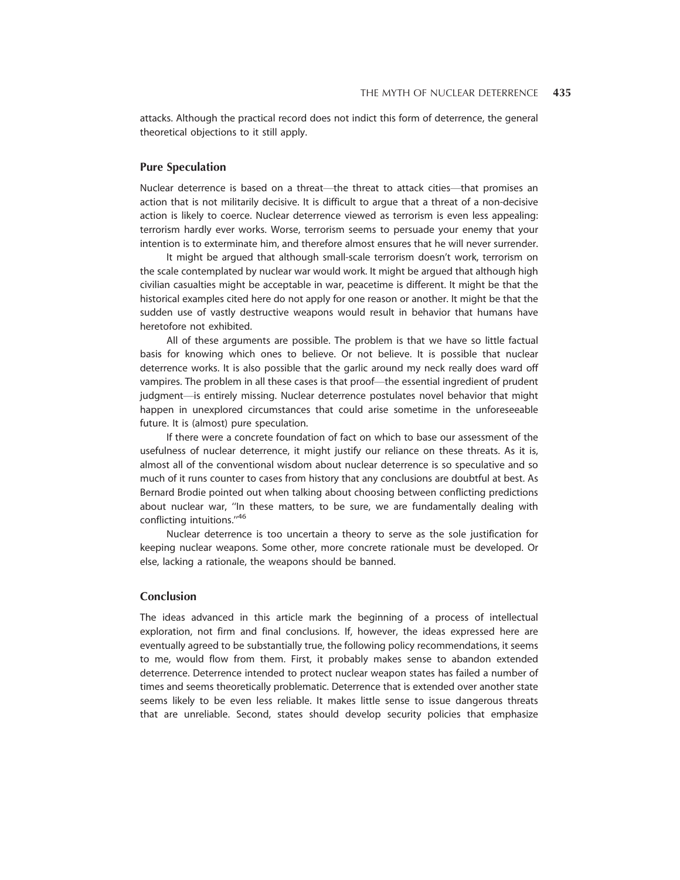attacks. Although the practical record does not indict this form of deterrence, the general theoretical objections to it still apply.

#### Pure Speculation

Nuclear deterrence is based on a threat—the threat to attack cities—that promises an action that is not militarily decisive. It is difficult to argue that a threat of a non-decisive action is likely to coerce. Nuclear deterrence viewed as terrorism is even less appealing: terrorism hardly ever works. Worse, terrorism seems to persuade your enemy that your intention is to exterminate him, and therefore almost ensures that he will never surrender.

It might be argued that although small-scale terrorism doesn't work, terrorism on the scale contemplated by nuclear war would work. It might be argued that although high civilian casualties might be acceptable in war, peacetime is different. It might be that the historical examples cited here do not apply for one reason or another. It might be that the sudden use of vastly destructive weapons would result in behavior that humans have heretofore not exhibited.

All of these arguments are possible. The problem is that we have so little factual basis for knowing which ones to believe. Or not believe. It is possible that nuclear deterrence works. It is also possible that the garlic around my neck really does ward off vampires. The problem in all these cases is that proof—the essential ingredient of prudent judgment-is entirely missing. Nuclear deterrence postulates novel behavior that might happen in unexplored circumstances that could arise sometime in the unforeseeable future. It is (almost) pure speculation.

If there were a concrete foundation of fact on which to base our assessment of the usefulness of nuclear deterrence, it might justify our reliance on these threats. As it is, almost all of the conventional wisdom about nuclear deterrence is so speculative and so much of it runs counter to cases from history that any conclusions are doubtful at best. As Bernard Brodie pointed out when talking about choosing between conflicting predictions about nuclear war, ''In these matters, to be sure, we are fundamentally dealing with conflicting intuitions.''<sup>46</sup>

Nuclear deterrence is too uncertain a theory to serve as the sole justification for keeping nuclear weapons. Some other, more concrete rationale must be developed. Or else, lacking a rationale, the weapons should be banned.

## **Conclusion**

The ideas advanced in this article mark the beginning of a process of intellectual exploration, not firm and final conclusions. If, however, the ideas expressed here are eventually agreed to be substantially true, the following policy recommendations, it seems to me, would flow from them. First, it probably makes sense to abandon extended deterrence. Deterrence intended to protect nuclear weapon states has failed a number of times and seems theoretically problematic. Deterrence that is extended over another state seems likely to be even less reliable. It makes little sense to issue dangerous threats that are unreliable. Second, states should develop security policies that emphasize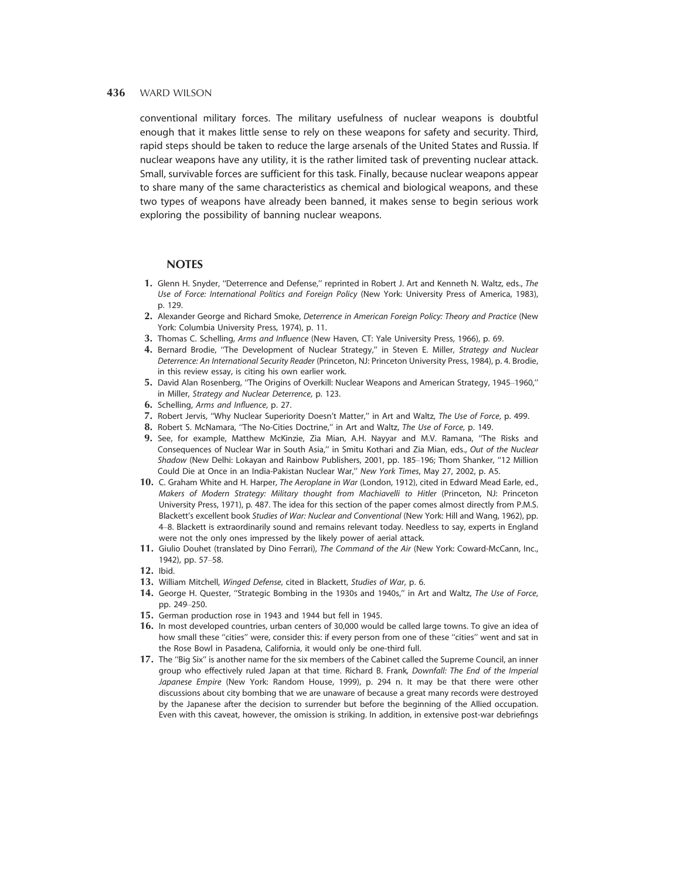conventional military forces. The military usefulness of nuclear weapons is doubtful enough that it makes little sense to rely on these weapons for safety and security. Third, rapid steps should be taken to reduce the large arsenals of the United States and Russia. If nuclear weapons have any utility, it is the rather limited task of preventing nuclear attack. Small, survivable forces are sufficient for this task. Finally, because nuclear weapons appear to share many of the same characteristics as chemical and biological weapons, and these two types of weapons have already been banned, it makes sense to begin serious work exploring the possibility of banning nuclear weapons.

## **NOTES**

- 1. Glenn H. Snyder, ''Deterrence and Defense,'' reprinted in Robert J. Art and Kenneth N. Waltz, eds., The Use of Force: International Politics and Foreign Policy (New York: University Press of America, 1983), p. 129.
- 2. Alexander George and Richard Smoke, Deterrence in American Foreign Policy: Theory and Practice (New York: Columbia University Press, 1974), p. 11.
- 3. Thomas C. Schelling, Arms and Influence (New Haven, CT: Yale University Press, 1966), p. 69.
- 4. Bernard Brodie, "The Development of Nuclear Strategy," in Steven E. Miller, Strategy and Nuclear Deterrence: An International Security Reader (Princeton, NJ: Princeton University Press, 1984), p. 4. Brodie, in this review essay, is citing his own earlier work.
- 5. David Alan Rosenberg, "The Origins of Overkill: Nuclear Weapons and American Strategy, 1945-1960," in Miller, Strategy and Nuclear Deterrence, p. 123.
- 6. Schelling, Arms and Influence, p. 27.
- 7. Robert Jervis, ''Why Nuclear Superiority Doesn't Matter,'' in Art and Waltz, The Use of Force, p. 499.
- 8. Robert S. McNamara, "The No-Cities Doctrine," in Art and Waltz, The Use of Force, p. 149.
- 9. See, for example, Matthew McKinzie, Zia Mian, A.H. Nayyar and M.V. Ramana, ''The Risks and Consequences of Nuclear War in South Asia,'' in Smitu Kothari and Zia Mian, eds., Out of the Nuclear Shadow (New Delhi: Lokayan and Rainbow Publishers, 2001, pp. 185-196; Thom Shanker, "12 Million Could Die at Once in an India-Pakistan Nuclear War,'' New York Times, May 27, 2002, p. A5.
- 10. C. Graham White and H. Harper, The Aeroplane in War (London, 1912), cited in Edward Mead Earle, ed., Makers of Modern Strategy: Military thought from Machiavelli to Hitler (Princeton, NJ: Princeton University Press, 1971), p. 487. The idea for this section of the paper comes almost directly from P.M.S. Blackett's excellent book Studies of War: Nuclear and Conventional (New York: Hill and Wang, 1962), pp. 4-8. Blackett is extraordinarily sound and remains relevant today. Needless to say, experts in England were not the only ones impressed by the likely power of aerial attack.
- 11. Giulio Douhet (translated by Dino Ferrari), The Command of the Air (New York: Coward-McCann, Inc., 1942), pp. 57-58.
- 12. Ibid.
- 13. William Mitchell, Winged Defense, cited in Blackett, Studies of War, p. 6.
- 14. George H. Quester, "Strategic Bombing in the 1930s and 1940s," in Art and Waltz, The Use of Force, pp. 249-250.
- 15. German production rose in 1943 and 1944 but fell in 1945.
- 16. In most developed countries, urban centers of 30,000 would be called large towns. To give an idea of how small these "cities" were, consider this: if every person from one of these "cities" went and sat in the Rose Bowl in Pasadena, California, it would only be one-third full.
- 17. The ''Big Six'' is another name for the six members of the Cabinet called the Supreme Council, an inner group who effectively ruled Japan at that time. Richard B. Frank, Downfall: The End of the Imperial Japanese Empire (New York: Random House, 1999), p. 294 n. It may be that there were other discussions about city bombing that we are unaware of because a great many records were destroyed by the Japanese after the decision to surrender but before the beginning of the Allied occupation. Even with this caveat, however, the omission is striking. In addition, in extensive post-war debriefings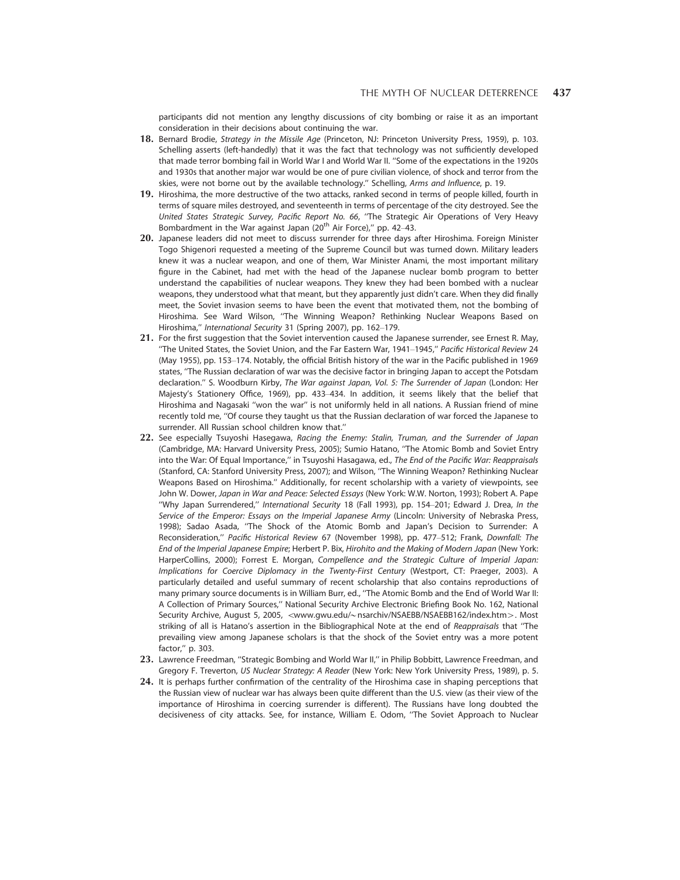participants did not mention any lengthy discussions of city bombing or raise it as an important consideration in their decisions about continuing the war.

- 18. Bernard Brodie, Strategy in the Missile Age (Princeton, NJ: Princeton University Press, 1959), p. 103. Schelling asserts (left-handedly) that it was the fact that technology was not sufficiently developed that made terror bombing fail in World War I and World War II. ''Some of the expectations in the 1920s and 1930s that another major war would be one of pure civilian violence, of shock and terror from the skies, were not borne out by the available technology.'' Schelling, Arms and Influence, p. 19.
- 19. Hiroshima, the more destructive of the two attacks, ranked second in terms of people killed, fourth in terms of square miles destroyed, and seventeenth in terms of percentage of the city destroyed. See the United States Strategic Survey, Pacific Report No. 66, ''The Strategic Air Operations of Very Heavy Bombardment in the War against Japan  $(20<sup>th</sup>$  Air Force)," pp. 42-43.
- 20. Japanese leaders did not meet to discuss surrender for three days after Hiroshima. Foreign Minister Togo Shigenori requested a meeting of the Supreme Council but was turned down. Military leaders knew it was a nuclear weapon, and one of them, War Minister Anami, the most important military figure in the Cabinet, had met with the head of the Japanese nuclear bomb program to better understand the capabilities of nuclear weapons. They knew they had been bombed with a nuclear weapons, they understood what that meant, but they apparently just didn't care. When they did finally meet, the Soviet invasion seems to have been the event that motivated them, not the bombing of Hiroshima. See Ward Wilson, ''The Winning Weapon? Rethinking Nuclear Weapons Based on Hiroshima," International Security 31 (Spring 2007), pp. 162-179.
- 21. For the first suggestion that the Soviet intervention caused the Japanese surrender, see Ernest R. May, "The United States, the Soviet Union, and the Far Eastern War, 1941-1945," Pacific Historical Review 24 (May 1955), pp. 153-174. Notably, the official British history of the war in the Pacific published in 1969 states, ''The Russian declaration of war was the decisive factor in bringing Japan to accept the Potsdam declaration." S. Woodburn Kirby, The War against Japan, Vol. 5: The Surrender of Japan (London: Her Majesty's Stationery Office, 1969), pp. 433-434. In addition, it seems likely that the belief that Hiroshima and Nagasaki ''won the war'' is not uniformly held in all nations. A Russian friend of mine recently told me, ''Of course they taught us that the Russian declaration of war forced the Japanese to surrender. All Russian school children know that.''
- 22. See especially Tsuyoshi Hasegawa, Racing the Enemy: Stalin, Truman, and the Surrender of Japan (Cambridge, MA: Harvard University Press, 2005); Sumio Hatano, ''The Atomic Bomb and Soviet Entry into the War: Of Equal Importance," in Tsuyoshi Hasagawa, ed., The End of the Pacific War: Reappraisals (Stanford, CA: Stanford University Press, 2007); and Wilson, ''The Winning Weapon? Rethinking Nuclear Weapons Based on Hiroshima.'' Additionally, for recent scholarship with a variety of viewpoints, see John W. Dower, Japan in War and Peace: Selected Essays (New York: W.W. Norton, 1993); Robert A. Pape "Why Japan Surrendered," International Security 18 (Fall 1993), pp. 154-201; Edward J. Drea, In the Service of the Emperor: Essays on the Imperial Japanese Army (Lincoln: University of Nebraska Press, 1998); Sadao Asada, ''The Shock of the Atomic Bomb and Japan's Decision to Surrender: A Reconsideration," Pacific Historical Review 67 (November 1998), pp. 477-512; Frank, Downfall: The End of the Imperial Japanese Empire; Herbert P. Bix, Hirohito and the Making of Modern Japan (New York: HarperCollins, 2000); Forrest E. Morgan, Compellence and the Strategic Culture of Imperial Japan: Implications for Coercive Diplomacy in the Twenty-First Century (Westport, CT: Praeger, 2003). A particularly detailed and useful summary of recent scholarship that also contains reproductions of many primary source documents is in William Burr, ed., ''The Atomic Bomb and the End of World War II: A Collection of Primary Sources,'' National Security Archive Electronic Briefing Book No. 162, National Security Archive, August 5, 2005, <www.gwu.edu/~ nsarchiv/NSAEBB/NSAEBB162/index.htm>. Most striking of all is Hatano's assertion in the Bibliographical Note at the end of Reappraisals that ''The prevailing view among Japanese scholars is that the shock of the Soviet entry was a more potent factor,'' p. 303.
- 23. Lawrence Freedman, ''Strategic Bombing and World War II,'' in Philip Bobbitt, Lawrence Freedman, and Gregory F. Treverton, US Nuclear Strategy: A Reader (New York: New York University Press, 1989), p. 5.
- 24. It is perhaps further confirmation of the centrality of the Hiroshima case in shaping perceptions that the Russian view of nuclear war has always been quite different than the U.S. view (as their view of the importance of Hiroshima in coercing surrender is different). The Russians have long doubted the decisiveness of city attacks. See, for instance, William E. Odom, ''The Soviet Approach to Nuclear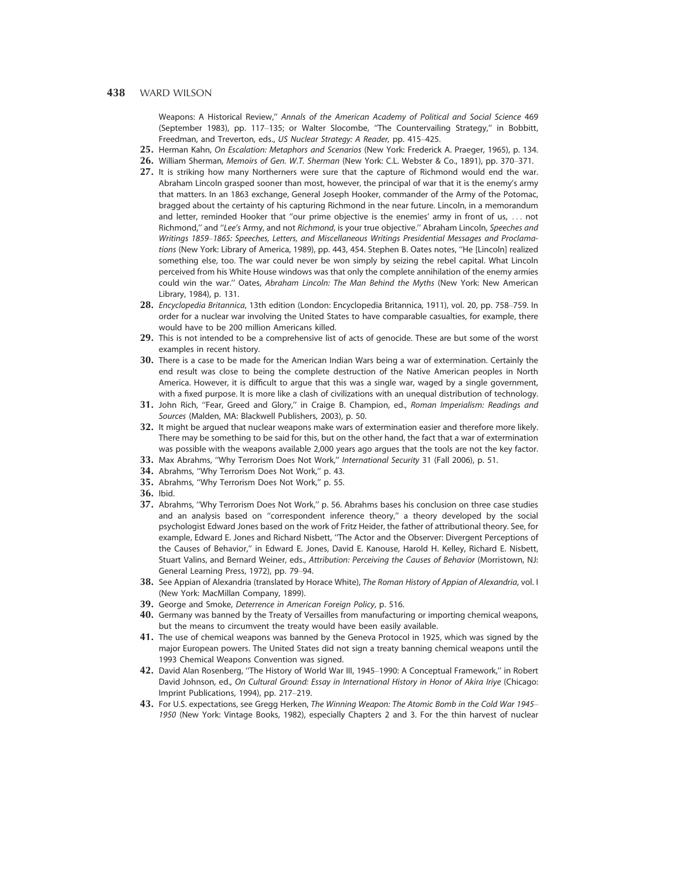Weapons: A Historical Review,'' Annals of the American Academy of Political and Social Science 469 (September 1983), pp. 117-135; or Walter Slocombe, "The Countervailing Strategy," in Bobbitt, Freedman, and Treverton, eds., US Nuclear Strategy: A Reader, pp. 415-425.

- 25. Herman Kahn, On Escalation: Metaphors and Scenarios (New York: Frederick A. Praeger, 1965), p. 134.
- 26. William Sherman, Memoirs of Gen. W.T. Sherman (New York: C.L. Webster & Co., 1891), pp. 370-371.
- 27. It is striking how many Northerners were sure that the capture of Richmond would end the war. Abraham Lincoln grasped sooner than most, however, the principal of war that it is the enemy's army that matters. In an 1863 exchange, General Joseph Hooker, commander of the Army of the Potomac, bragged about the certainty of his capturing Richmond in the near future. Lincoln, in a memorandum and letter, reminded Hooker that "our prime objective is the enemies' army in front of us, ... not Richmond," and "Lee's Army, and not Richmond, is your true objective." Abraham Lincoln, Speeches and Writings 1859-1865: Speeches, Letters, and Miscellaneous Writings Presidential Messages and Proclamations (New York: Library of America, 1989), pp. 443, 454. Stephen B. Oates notes, ''He [Lincoln] realized something else, too. The war could never be won simply by seizing the rebel capital. What Lincoln perceived from his White House windows was that only the complete annihilation of the enemy armies could win the war.'' Oates, Abraham Lincoln: The Man Behind the Myths (New York: New American Library, 1984), p. 131.
- 28. Encyclopedia Britannica, 13th edition (London: Encyclopedia Britannica, 1911), vol. 20, pp. 758-759. In order for a nuclear war involving the United States to have comparable casualties, for example, there would have to be 200 million Americans killed.
- 29. This is not intended to be a comprehensive list of acts of genocide. These are but some of the worst examples in recent history.
- 30. There is a case to be made for the American Indian Wars being a war of extermination. Certainly the end result was close to being the complete destruction of the Native American peoples in North America. However, it is difficult to argue that this was a single war, waged by a single government, with a fixed purpose. It is more like a clash of civilizations with an unequal distribution of technology.
- 31. John Rich, "Fear, Greed and Glory," in Craige B. Champion, ed., Roman Imperialism: Readings and Sources (Malden, MA: Blackwell Publishers, 2003), p. 50.
- 32. It might be argued that nuclear weapons make wars of extermination easier and therefore more likely. There may be something to be said for this, but on the other hand, the fact that a war of extermination was possible with the weapons available 2,000 years ago argues that the tools are not the key factor.
- 33. Max Abrahms, ''Why Terrorism Does Not Work,'' International Security 31 (Fall 2006), p. 51.
- 34. Abrahms, ''Why Terrorism Does Not Work,'' p. 43.
- 35. Abrahms, ''Why Terrorism Does Not Work,'' p. 55.
- 36. Ibid.
- 37. Abrahms, ''Why Terrorism Does Not Work,'' p. 56. Abrahms bases his conclusion on three case studies and an analysis based on ''correspondent inference theory,'' a theory developed by the social psychologist Edward Jones based on the work of Fritz Heider, the father of attributional theory. See, for example, Edward E. Jones and Richard Nisbett, ''The Actor and the Observer: Divergent Perceptions of the Causes of Behavior,'' in Edward E. Jones, David E. Kanouse, Harold H. Kelley, Richard E. Nisbett, Stuart Valins, and Bernard Weiner, eds., Attribution: Perceiving the Causes of Behavior (Morristown, NJ: General Learning Press, 1972), pp. 79-94.
- 38. See Appian of Alexandria (translated by Horace White), The Roman History of Appian of Alexandria, vol. I (New York: MacMillan Company, 1899).
- 39. George and Smoke, Deterrence in American Foreign Policy, p. 516.
- 40. Germany was banned by the Treaty of Versailles from manufacturing or importing chemical weapons, but the means to circumvent the treaty would have been easily available.
- 41. The use of chemical weapons was banned by the Geneva Protocol in 1925, which was signed by the major European powers. The United States did not sign a treaty banning chemical weapons until the 1993 Chemical Weapons Convention was signed.
- 42. David Alan Rosenberg, "The History of World War III, 1945-1990: A Conceptual Framework," in Robert David Johnson, ed., On Cultural Ground: Essay in International History in Honor of Akira Iriye (Chicago: Imprint Publications, 1994), pp. 217-219.
- 43. For U.S. expectations, see Gregg Herken, The Winning Weapon: The Atomic Bomb in the Cold War 1945-1950 (New York: Vintage Books, 1982), especially Chapters 2 and 3. For the thin harvest of nuclear